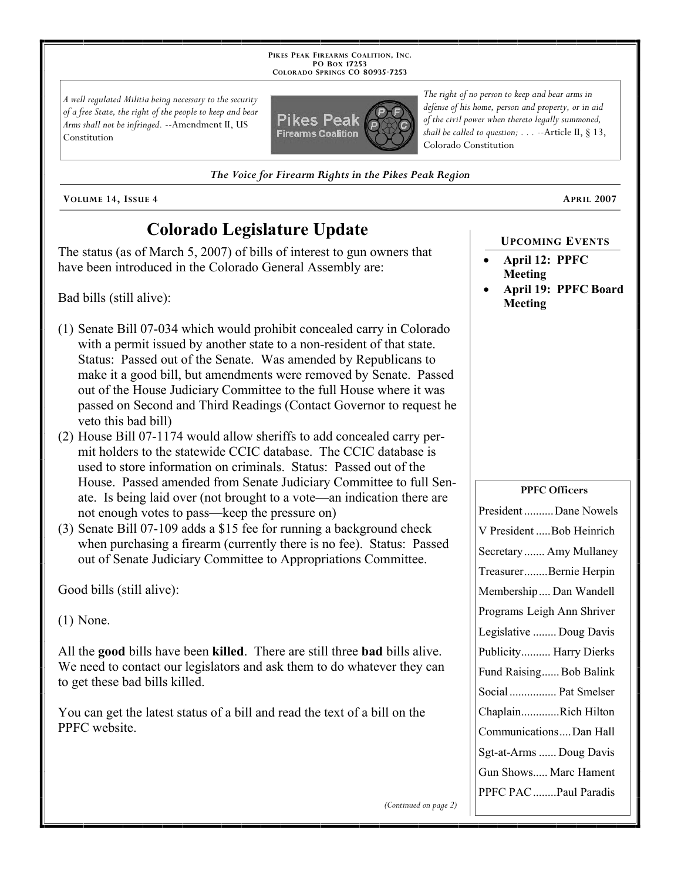**PIKES PEAK FIREARMS COALITION, INC. PO BOX 17253 COLORADO SPRINGS CO 80935 -7253**

*A well regulated Militia being necessary to the security of a free State, the right of the people to keep and bear Arms shall not be infringed.* --Amendment II, US Constitution



*The right of no person to keep and bear arms in defense of his home, person and property, or in aid of the civil power when thereto legally summoned, shall be called to question; . . .* --Article II, § 13, Colorado Constitution

*The Voice for Firearm Rights in the Pikes Peak Region*

**VOLUME 14, ISSUE 4 APRIL 2007**

# **Colorado Legislature Update**

The status (as of March 5, 2007) of bills of interest to gun owners that have been introduced in the Colorado General Assembly are:

Bad bills (still alive):

- (1) Senate Bill 07-034 which would prohibit concealed carry in Colorado with a permit issued by another state to a non-resident of that state. Status: Passed out of the Senate. Was amended by Republicans to make it a good bill, but amendments were removed by Senate. Passed out of the House Judiciary Committee to the full House where it was passed on Second and Third Readings (Contact Governor to request he veto this bad bill)
- (2) House Bill 07-1174 would allow sheriffs to add concealed carry permit holders to the statewide CCIC database. The CCIC database is used to store information on criminals. Status: Passed out of the House. Passed amended from Senate Judiciary Committee to full Senate. Is being laid over (not brought to a vote—an indication there are not enough votes to pass—keep the pressure on)
- (3) Senate Bill 07-109 adds a \$15 fee for running a background check when purchasing a firearm (currently there is no fee). Status: Passed out of Senate Judiciary Committee to Appropriations Committee.

Good bills (still alive):

(1) None.

All the **good** bills have been **killed**. There are still three **bad** bills alive. We need to contact our legislators and ask them to do whatever they can to get these bad bills killed.

You can get the latest status of a bill and read the text of a bill on the PPFC website.

#### **UPCOMING EVENTS**

- **April 12: PPFC Meeting**
- **April 19: PPFC Board Meeting**

#### **PPFC Officers**

| President Dane Nowels      |
|----------------------------|
| V President Bob Heinrich   |
| Secretary  Amy Mullaney    |
| TreasurerBernie Herpin     |
| Membership Dan Wandell     |
| Programs Leigh Ann Shriver |
| Legislative  Doug Davis    |
| Publicity Harry Dierks     |
| Fund Raising Bob Balink    |
| Social  Pat Smelser        |
| ChaplainRich Hilton        |
| CommunicationsDan Hall     |
| Sgt-at-Arms  Doug Davis    |
| Gun Shows Marc Hament      |
| PPFC PAC Paul Paradis      |
|                            |